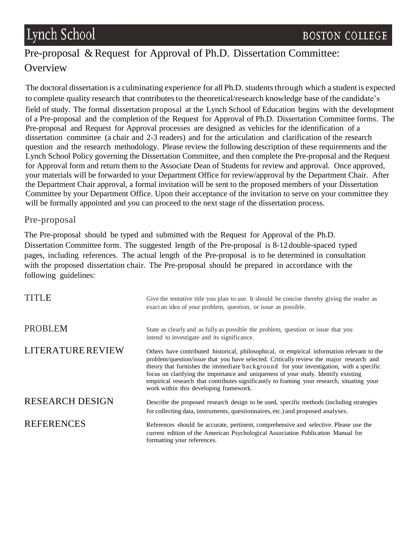## Pre-proposal & Request for Approval of Ph.D. Dissertation Committee: **Overview**

The doctoral dissertation is a culminating experience for all Ph.D. students through which a student is expected to complete quality research that contributes to the theoretical/research knowledge base of the candidate's field of study. The formal dissertation proposal at the Lynch School of Education begins with the development of a Pre-proposal and the completion of the Request for Approval of Ph.D. Dissertation Committee forms. The Pre-proposal and Request for Approval processes are designed as vehicles for the identification of a dissertation committee (a chair and 2-3 readers) and for the articulation and clarification of the research question and the research methodology. Please review the following description of these requirements and the Lynch School Policy governing the Dissertation Committee, and then complete the Pre-proposal and the Request for Approval form and return them to the Associate Dean of Students for review and approval. Once approved, your materials will be forwarded to your Department Office for review/approval by the Department Chair. After the Department Chair approval, a formal invitation will be sent to the proposed members of your Dissertation Committee by your Department Office. Upon their acceptance of the invitation to serve on your committee they will be formally appointed and you can proceed to the next stage of the dissertation process.

## Pre-proposal

The Pre-proposal should be typed and submitted with the Request for Approval of the Ph.D. Dissertation Committee form. The suggested length of the Pre-proposal is 8-12 double-spaced typed pages, including references. The actual length of the Pre-proposal is to be determined in consultation with the proposed dissertation chair. The Pre-proposal should be prepared in accordance with the following guidelines:

| <b>TITLE</b>             | Give the tentative title you plan to use. It should be concise thereby giving the reader as<br>exact an idea of your problem, question, or issue as possible.                                                                                                                                                                                                                                                                                                                                                  |
|--------------------------|----------------------------------------------------------------------------------------------------------------------------------------------------------------------------------------------------------------------------------------------------------------------------------------------------------------------------------------------------------------------------------------------------------------------------------------------------------------------------------------------------------------|
| <b>PROBLEM</b>           | State as clearly and as fully as possible the problem, question or issue that you<br>intend to investigate and its significance.                                                                                                                                                                                                                                                                                                                                                                               |
| <b>LITERATURE REVIEW</b> | Others have contributed historical, philosophical, or empirical information relevant to the<br>problem/question/issue that you have selected. Critically review the major research and<br>theory that furnishes the immediate background for your investigation, with a specific<br>focus on clarifying the importance and uniqueness of your study. Identify existing<br>empirical research that contributes significantly to framing your research, situating your<br>work within this developing framework. |
| <b>RESEARCH DESIGN</b>   | Describe the proposed research design to be used, specific methods (including strategies<br>for collecting data, instruments, questionnaires, etc.) and proposed analyses.                                                                                                                                                                                                                                                                                                                                     |
| <b>REFERENCES</b>        | References should be accurate, pertinent, comprehensive and selective. Please use the<br>current edition of the American Psychological Association Publication Manual for<br>formatting your references.                                                                                                                                                                                                                                                                                                       |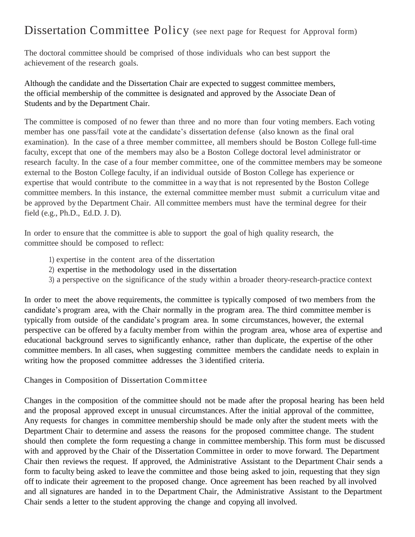## Dissertation Committee Policy (see next page for Request for Approval form)

The doctoral committee should be comprised of those individuals who can best support the achievement of the research goals.

Although the candidate and the Dissertation Chair are expected to suggest committee members, the official membership of the committee is designated and approved by the Associate Dean of Students and by the Department Chair.

The committee is composed of no fewer than three and no more than four voting members. Each voting member has one pass/fail vote at the candidate's dissertation defense (also known as the final oral examination). In the case of a three member committee, all members should be Boston College full-time faculty, except that one of the members may also be a Boston College doctoral level administrator or research faculty. In the case of a four member committee, one of the committee members may be someone external to the Boston College faculty, if an individual outside of Boston College has experience or expertise that would contribute to the committee in a way that is not represented by the Boston College committee members. In this instance, the external committee member must submit a curriculum vitae and be approved by the Department Chair. All committee members must have the terminal degree for their field (e.g., Ph.D., Ed.D. J. D).

In order to ensure that the committee is able to support the goal of high quality research, the committee should be composed to reflect:

- 1) expertise in the content area of the dissertation
- 2) expertise in the methodology used in the dissertation
- 3) a perspective on the significance of the study within a broader theory-research-practice context

In order to meet the above requirements, the committee is typically composed of two members from the candidate's program area, with the Chair normally in the program area. The third committee member is typically from outside of the candidate's program area. In some circumstances, however, the external perspective can be offered by a faculty member from within the program area, whose area of expertise and educational background serves to significantly enhance, rather than duplicate, the expertise of the other committee members. In all cases, when suggesting committee members the candidate needs to explain in writing how the proposed committee addresses the 3 identified criteria.

Changes in Composition of Dissertation Committee

Changes in the composition of the committee should not be made after the proposal hearing has been held and the proposal approved except in unusual circumstances. After the initial approval of the committee, Any requests for changes in committee membership should be made only after the student meets with the Department Chair to determine and assess the reasons for the proposed committee change. The student should then complete the form requesting a change in committee membership. This form must be discussed with and approved by the Chair of the Dissertation Committee in order to move forward. The Department Chair then reviews the request. If approved, the Administrative Assistant to the Department Chair sends a form to faculty being asked to leave the committee and those being asked to join, requesting that they sign off to indicate their agreement to the proposed change. Once agreement has been reached by all involved and all signatures are handed in to the Department Chair, the Administrative Assistant to the Department Chair sends a letter to the student approving the change and copying all involved.